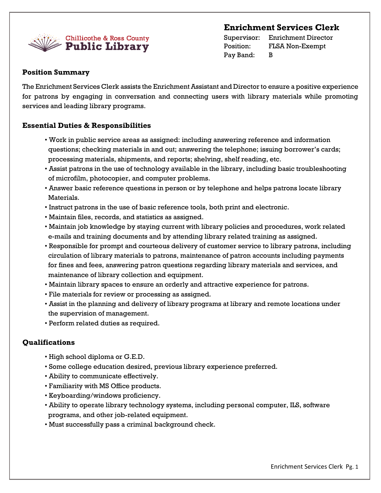# **Enrichment Services Clerk**



Supervisor: Enrichment Director Position: FLSA Non-Exempt Pay Band: B

# **Position Summary**

The Enrichment Services Clerk assists the Enrichment Assistant and Director to ensure a positive experience for patrons by engaging in conversation and connecting users with library materials while promoting services and leading library programs.

# **Essential Duties & Responsibilities**

- Work in public service areas as assigned: including answering reference and information questions; checking materials in and out; answering the telephone; issuing borrower's cards; processing materials, shipments, and reports; shelving, shelf reading, etc.
- Assist patrons in the use of technology available in the library, including basic troubleshooting of microfilm, photocopier, and computer problems.
- Answer basic reference questions in person or by telephone and helps patrons locate library Materials.
- Instruct patrons in the use of basic reference tools, both print and electronic.
- Maintain files, records, and statistics as assigned.
- Maintain job knowledge by staying current with library policies and procedures, work related e-mails and training documents and by attending library related training as assigned.
- Responsible for prompt and courteous delivery of customer service to library patrons, including circulation of library materials to patrons, maintenance of patron accounts including payments for fines and fees, answering patron questions regarding library materials and services, and maintenance of library collection and equipment.
- Maintain library spaces to ensure an orderly and attractive experience for patrons.
- File materials for review or processing as assigned.
- Assist in the planning and delivery of library programs at library and remote locations under the supervision of management.
- Perform related duties as required.

# **Qualifications**

- High school diploma or G.E.D.
- Some college education desired, previous library experience preferred.
- Ability to communicate effectively.
- Familiarity with MS Office products.
- Keyboarding/windows proficiency.
- Ability to operate library technology systems, including personal computer, ILS, software programs, and other job-related equipment.
- Must successfully pass a criminal background check.